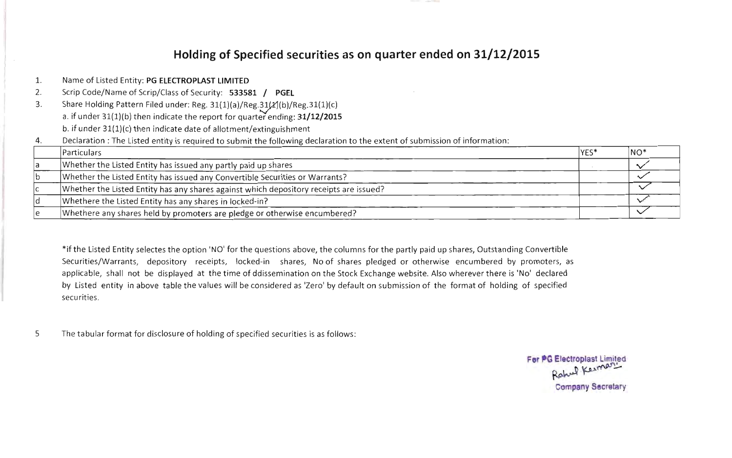## Holding of Specified securities as on quarter ended on 31/12/2015 Particulars YES\* NO\*

| 1. | Name of Listed Entity: PG ELECTROPLAST LIMITED                                                                              |      |        |
|----|-----------------------------------------------------------------------------------------------------------------------------|------|--------|
| 2. | Scrip Code/Name of Scrip/Class of Security: 533581 / PGEL                                                                   |      |        |
| 3. | Share Holding Pattern Filed under: Reg. 31(1)(a)/Reg.31(2)(b)/Reg.31(1)(c)                                                  |      |        |
|    | a. if under 31(1)(b) then indicate the report for quarter ending: 31/12/2015                                                |      |        |
|    | b. if under $31(1)(c)$ then indicate date of allotment/extinguishment                                                       |      |        |
| 4. | Declaration : The Listed entity is required to submit the following declaration to the extent of submission of information: |      |        |
|    | Particulars                                                                                                                 | YES* | $NO^*$ |
|    | Whether the Listed Entity has issued any partly paid up shares                                                              |      |        |
|    | Whether the Listed Entity has issued any Convertible Securities or Warrants?                                                |      |        |
|    | Whether the Listed Entity has any shares against which depository receipts are issued?                                      |      |        |
| ld | Whethere the Listed Entity has any shares in locked-in?                                                                     |      |        |
|    | Whethere any shares held by promoters are pledge or otherwise encumbered?                                                   |      |        |

\*if the Listed Entity selectes the option 'NO' for the questions above, the columns for the partly paid up shares, Outstanding Convertible Securities/Warrants, depository receipts, locked-in shares, No of shares pledged or otherwise encumbered by promoters, as applicable, shall not be displayed at the time of ddissemination on the Stock Exchange website. Also wherever there is 'No' declared  $\mathcal{A}$ by Listed entity in above table the values will be considered as 'Zero' by default on submission of the format of holding of specified securities.

The tabular format for disclosure of holding of specified securities is as follows: 5

For PG Electroplast Limited Rahuel Kesthart **Company Secretary**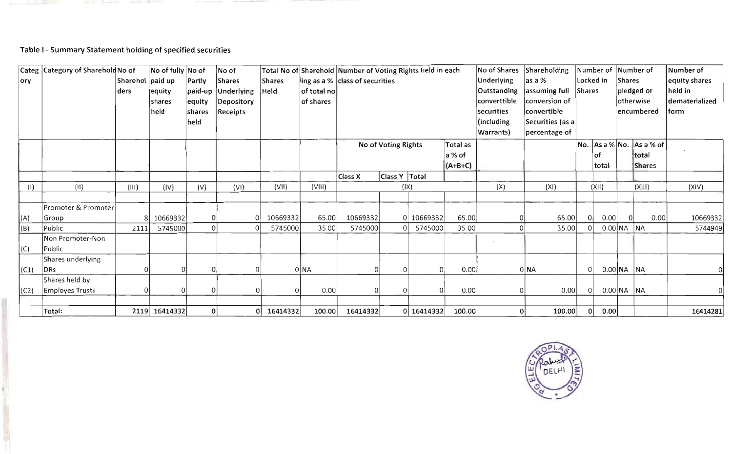#### paid-up Underlying United States and Departure

# Table I - Summary Statement holding of specified securities

|          | Categ Category of Sharehold No of |                  | No of fully No of |                | No of                |               |             | Total No of Sharehold Number of Voting Rights held in each |                                 |            |            | No of Shares | Shareholding     |               | Number of Number of |              |                             | Number of      |  |  |
|----------|-----------------------------------|------------------|-------------------|----------------|----------------------|---------------|-------------|------------------------------------------------------------|---------------------------------|------------|------------|--------------|------------------|---------------|---------------------|--------------|-----------------------------|----------------|--|--|
| ory      |                                   | Sharehol paid up |                   | Partly         | <b>Shares</b>        | <b>Shares</b> |             | ling as a % class of securities                            |                                 |            | Underlying | as a %       |                  | Locked in     | Shares              |              | equity shares               |                |  |  |
|          |                                   | ders             | equity            |                | paid-up   Underlying | Held          | of total no |                                                            |                                 |            |            | Outstanding  | assuming full    | <b>Shares</b> |                     |              | pledged or                  | held in        |  |  |
|          |                                   |                  | shares            | equity         | Depository           |               | of shares   |                                                            |                                 |            |            | converttible | conversion of    |               |                     |              | otherwise                   | dematerialized |  |  |
|          |                                   |                  | held              | <b>shares</b>  | Receipts             |               |             |                                                            |                                 |            |            | securities   | convertible      |               |                     |              | encumbered                  | ∣form          |  |  |
|          |                                   |                  |                   | held           |                      |               |             |                                                            |                                 |            |            | (including   | Securities (as a |               |                     |              |                             |                |  |  |
|          |                                   |                  |                   |                |                      |               |             |                                                            |                                 |            |            | Warrants)    | percentage of    |               |                     |              |                             |                |  |  |
|          |                                   |                  |                   |                |                      |               |             |                                                            | No of Voting Rights<br>Total as |            |            |              |                  |               |                     |              | No. $ As a % No.$ As a % of |                |  |  |
|          |                                   |                  |                   |                |                      |               |             |                                                            |                                 |            | a % of     |              |                  |               | οf                  |              | total                       |                |  |  |
|          |                                   |                  |                   |                |                      |               |             |                                                            |                                 |            | $(A+B+C)$  |              |                  |               | total               |              | <b>Shares</b>               |                |  |  |
|          |                                   |                  |                   |                |                      |               |             | Class X                                                    | Class Y   Total                 |            |            |              |                  |               |                     |              |                             |                |  |  |
| (1)      | (11)                              | (III)            | (IV)              | (V)            | (VI)                 | (VII)         | (VIII)      |                                                            | (IX)                            |            |            | (X)          | (XI)             |               | (X  )               |              | (XIII)                      | (XIV)          |  |  |
|          |                                   |                  |                   |                |                      |               |             |                                                            |                                 |            |            |              |                  |               |                     |              |                             |                |  |  |
|          | Promoter & Promoter               |                  |                   |                |                      |               |             |                                                            |                                 |            |            |              |                  |               |                     |              |                             |                |  |  |
| (A)      | Group                             | 81               | 10669332          | 0              |                      | 10669332      | 65.00       | 10669332                                                   |                                 | 0 10669332 | 65.00      |              | 65.00            | 0             | 0.00                |              | 0.00                        | 10669332       |  |  |
| (B)      | Public                            | 2111             | 5745000           | $\theta$       |                      | 5745000       | 35.00       | 5745000                                                    |                                 | 5745000    | 35.00      |              | 35.00            |               |                     | $0.00$ NA NA |                             | 5744949        |  |  |
|          | Non Promoter-Non                  |                  |                   |                |                      |               |             |                                                            |                                 |            |            |              |                  |               |                     |              |                             |                |  |  |
| (C)      | Public                            |                  |                   |                |                      |               |             |                                                            |                                 |            |            |              |                  |               |                     |              |                             |                |  |  |
|          | Shares underlying                 |                  |                   |                |                      |               |             |                                                            |                                 |            |            |              |                  |               |                     |              |                             |                |  |  |
| $ $ (C1) | DRs                               |                  |                   | $\Omega$       |                      |               | 0 NA        |                                                            |                                 |            | 0.00       |              | 0 NA             | 0             |                     | $0.00$ NA NA |                             |                |  |  |
|          | Shares held by                    |                  |                   |                |                      |               |             |                                                            |                                 |            |            |              |                  |               |                     |              |                             |                |  |  |
| (C2)     | <b>Employes Trusts</b>            | $\Omega$         |                   | $\overline{0}$ |                      |               | 0.00        |                                                            |                                 |            | 0.00       |              | 0.00             | $\Omega$      |                     | $0.00$ NA NA |                             |                |  |  |
|          |                                   |                  |                   |                |                      |               |             |                                                            |                                 |            |            |              |                  |               |                     |              |                             |                |  |  |
|          | Total:                            |                  | 2119 16414332     | 0              |                      | 16414332      | 100.00      | 16414332                                                   |                                 | 0 16414332 | 100.00     |              | 100.00           |               | 0.00                |              |                             | 16414281       |  |  |

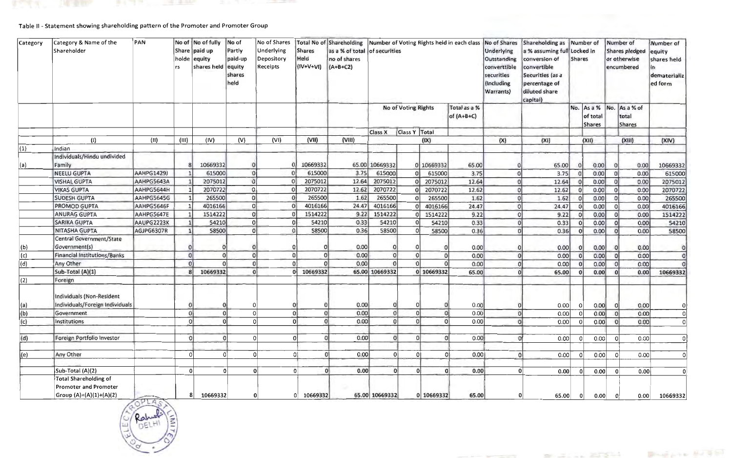## Table II - Statement showing shareholding pattern of the Promoter and Promoter Group

**The Contract of the Contract of the Contract of the Contract of the Contract of the Contract of the Contract of the Contract of the Contract of The Contract of The Contract of The Contract of The Contract of The Contract** 

| Category    | Category & Name of the<br>Shareholder                                            | PAN<br>No of No of fully<br>Share paid up<br>holde<br>equity<br>shares held<br>rs |          |                            |                | No of Shares<br>Underlying<br>Depository<br>Receipts | <b>Shares</b><br>Held<br>$(IV+V+VI)$ | Total No of Shareholding Number of Voting Rights held in each class No of Shares<br>as a % of total of securities<br>no of shares<br>$(A+B+C2)$ |                     |                |            |                              | Underlying<br>Outstanding<br>converttible<br>securities<br>(Including<br>Warrants) | Shareholding as Number of<br>a % assuming full Locked in<br>conversion of<br>convertible<br>Securities (as a<br>percentage of<br>diluted share<br>capital) | <b>Shares</b> |                           |          | Number of<br><b>Shares pledged</b><br>or otherwise<br>encumbered | Number of<br>equity<br>shares held<br>in<br>dematerializ<br>ed form |  |
|-------------|----------------------------------------------------------------------------------|-----------------------------------------------------------------------------------|----------|----------------------------|----------------|------------------------------------------------------|--------------------------------------|-------------------------------------------------------------------------------------------------------------------------------------------------|---------------------|----------------|------------|------------------------------|------------------------------------------------------------------------------------|------------------------------------------------------------------------------------------------------------------------------------------------------------|---------------|---------------------------|----------|------------------------------------------------------------------|---------------------------------------------------------------------|--|
|             |                                                                                  |                                                                                   |          |                            |                |                                                      |                                      |                                                                                                                                                 | No of Voting Rights |                |            | Total as a %<br>of $(A+B+C)$ |                                                                                    |                                                                                                                                                            |               | of total<br><b>Shares</b> |          | No. As a % No. As a % of<br>total<br><b>Shares</b>               |                                                                     |  |
|             |                                                                                  |                                                                                   |          |                            |                |                                                      |                                      |                                                                                                                                                 | Class X             | Class Y Total  |            |                              |                                                                                    |                                                                                                                                                            |               |                           |          |                                                                  |                                                                     |  |
|             | (1)                                                                              | (11)                                                                              | (III)    | (IV)                       | (V)            | (VI)                                                 | (VII)                                | (VIII)                                                                                                                                          |                     |                | (IX)       |                              | (X)                                                                                | (XI)                                                                                                                                                       |               | (XII)                     |          | (XIII)                                                           | (XIV)                                                               |  |
| (1)         | Indian                                                                           |                                                                                   |          |                            |                |                                                      |                                      |                                                                                                                                                 |                     |                |            |                              |                                                                                    |                                                                                                                                                            |               |                           |          |                                                                  |                                                                     |  |
|             | Individuals/Hindu undivided<br>Family                                            |                                                                                   |          | 10669332                   |                |                                                      | 10669332                             |                                                                                                                                                 | 65.00 10669332      |                | 0 10669332 | 65.00                        |                                                                                    | 65.00                                                                                                                                                      |               | 0.00                      |          | 0.00                                                             | 10669332                                                            |  |
| (a)         | <b>NEELU GUPTA</b>                                                               | <b>AAHPG1429J</b>                                                                 |          | 615000                     | 0 <sup>i</sup> |                                                      | 615000                               | 3.75                                                                                                                                            | 615000              | 0              | 615000     | 3.75                         | $\Omega$                                                                           | 3.75                                                                                                                                                       |               | 0.00                      |          | 0.00                                                             | 615000                                                              |  |
|             | <b>VISHAL GUPTA</b>                                                              | AAHPG5643A                                                                        |          | 2075012                    | $\Omega$       |                                                      | 2075012                              | 12.64                                                                                                                                           | 2075012             | $\Omega$       | 2075012    | 12.64                        | $\Omega$                                                                           | 12.64                                                                                                                                                      |               | 0.00                      |          | 0.00                                                             | 2075012                                                             |  |
|             | <b>VIKAS GUPTA</b>                                                               | AAHPG5644H                                                                        |          | 2070722                    | $\circ$        | $\epsilon$                                           | 2070722                              | 12.62                                                                                                                                           | 2070722             | $\Omega$       | 2070722    | 12.62                        | $\Omega$                                                                           | 12.62                                                                                                                                                      |               | 0.00                      |          | 0.00                                                             | 2070722                                                             |  |
|             | <b>SUDESH GUPTA</b>                                                              | AAHPG5645G                                                                        |          | 265500                     | 0              |                                                      | 265500                               | 1.62                                                                                                                                            | 265500              | 0              | 265500     | 1.62                         | $\Omega$                                                                           | 1.62                                                                                                                                                       |               | 0.00                      |          | 0.00                                                             | 265500                                                              |  |
|             | <b>PROMOD GUPTA</b>                                                              | AAHPG5646F                                                                        |          | 4016166                    | 0              |                                                      | 4016166                              | 24.47                                                                                                                                           | 4016166             | $\Omega$       | 4016166    | 24.47                        | $\Omega$                                                                           | 24.47                                                                                                                                                      |               | 0.00                      |          | 0.00                                                             | 4016166                                                             |  |
|             | <b>ANURAG GUPTA</b>                                                              | AAHPG5647E                                                                        |          | 1514222                    | 0              |                                                      | 1514222                              | 9.22                                                                                                                                            | 1514222             | $\Omega$       | 1514222    | 9.22                         | $\Omega$                                                                           | 9.22                                                                                                                                                       |               | 0.00                      |          | 0.00                                                             | 1514222                                                             |  |
|             | <b>SARIKA GUPTA</b>                                                              | AAUPG2223K                                                                        |          | 54210                      | 0              |                                                      | 54210                                | 0.33                                                                                                                                            | 54210               | $\mathbf{0}$   | 54210      | 0.33                         | $\mathbf{O}$                                                                       | 0.33                                                                                                                                                       |               | 0.00                      |          | 0.00                                                             | 54210                                                               |  |
|             | <b>NITASHA GUPTA</b>                                                             | AGJPG6307R                                                                        |          | 58500                      | $\circ$        | $\Omega$                                             | 58500                                | 0.36                                                                                                                                            | 58500               | 0              | 58500      | 0.36                         | $\overline{0}$                                                                     | 0.36                                                                                                                                                       |               | 0.00                      |          | 0.00                                                             | 58500                                                               |  |
|             | Central Government/State                                                         |                                                                                   |          |                            |                |                                                      |                                      |                                                                                                                                                 |                     |                |            |                              |                                                                                    |                                                                                                                                                            |               |                           |          |                                                                  |                                                                     |  |
| (b)         | Government(s)                                                                    |                                                                                   |          |                            |                |                                                      |                                      | 0.00                                                                                                                                            |                     | $\Omega$       |            | 0.00                         | $\mathbf{O}$                                                                       | 0.00                                                                                                                                                       |               | 0.00                      |          | 0.00                                                             | 0                                                                   |  |
| (c)         | Financial Institutions/Banks                                                     |                                                                                   | 0        | $\Omega$                   | $\overline{0}$ | $\Omega$                                             | $\Omega$                             | 0.00                                                                                                                                            | $\Omega$            | 0              |            | 0.00                         | $\overline{0}$                                                                     | 0.00                                                                                                                                                       |               | 0.00                      |          | 0.00                                                             | 0                                                                   |  |
| $ d\rangle$ | Any Other                                                                        |                                                                                   | $\Omega$ |                            | $\overline{0}$ |                                                      | $\Omega$                             | 0.00                                                                                                                                            | $\Omega$            | $\Omega$       |            | 0.00                         | $\mathbf{O}$                                                                       | 0.00                                                                                                                                                       |               | 0.00                      |          | 0.00                                                             | $\Omega$                                                            |  |
|             | Sub-Total (A)(1)                                                                 |                                                                                   |          | 10669332<br>8 <sup>1</sup> | $\overline{0}$ |                                                      | 0 10669332                           |                                                                                                                                                 | 65.00 10669332      |                | 0 10669332 | 65.00                        | $\Omega$                                                                           | 65.00                                                                                                                                                      |               | 0.00                      |          | 0.00                                                             | 10669332                                                            |  |
| (2)         | Foreign                                                                          |                                                                                   |          |                            |                |                                                      |                                      |                                                                                                                                                 |                     |                |            |                              |                                                                                    |                                                                                                                                                            |               |                           |          |                                                                  |                                                                     |  |
| (a)         | Individuals (Non-Resident<br>Individuals/Foreign Individuals                     |                                                                                   | $\Omega$ |                            | Ω              | $\Omega$                                             |                                      | 0.00                                                                                                                                            | 0                   |                |            | 0.00                         |                                                                                    | 0.00<br> 0                                                                                                                                                 |               | 0.00                      |          | 0.00                                                             |                                                                     |  |
| (b)         | Government                                                                       |                                                                                   | $\Omega$ | $\Omega$                   | $\Omega$       |                                                      | $\Omega$                             | 0 <br>0.00                                                                                                                                      | 0                   | $\Omega$       |            | 0.00                         |                                                                                    | $\overline{0}$<br>0.00                                                                                                                                     |               | 0.00                      |          | 0.00                                                             | 0l                                                                  |  |
| (c)         | Institutions                                                                     |                                                                                   | $\Omega$ |                            | Ω              |                                                      | $\overline{0}$                       | 0.00<br>$\Omega$                                                                                                                                | 0                   | $\Omega$       |            | 0.00                         |                                                                                    | 0 <br>0.00                                                                                                                                                 |               | 0.00                      | $\Omega$ | 0.00                                                             | 0                                                                   |  |
|             |                                                                                  |                                                                                   |          |                            |                |                                                      |                                      |                                                                                                                                                 |                     |                |            |                              |                                                                                    |                                                                                                                                                            |               |                           |          |                                                                  |                                                                     |  |
| (d)         | Foreign Portfolio Investor                                                       |                                                                                   | $\Omega$ | $\mathbf{0}$               | $\Omega$       |                                                      | $\Omega$                             | 0.00                                                                                                                                            | $\overline{0}$      | $\Omega$       | $\Omega$   | 0.00                         |                                                                                    | 0.00                                                                                                                                                       | 0             | 0.00                      |          | 0.00                                                             | 0                                                                   |  |
|             |                                                                                  |                                                                                   |          |                            |                |                                                      |                                      |                                                                                                                                                 |                     |                |            |                              |                                                                                    |                                                                                                                                                            |               |                           |          |                                                                  |                                                                     |  |
| (e)         | Any Other                                                                        |                                                                                   |          | $\Omega$                   |                | $\Omega$                                             | O.                                   | $\overline{0}$<br>0.00                                                                                                                          | $\overline{O}$      | $\overline{0}$ |            | 0.00<br>$\Omega$             |                                                                                    | $\Omega$<br>0.00                                                                                                                                           | $\Omega$      | 0.00                      |          | 0.00<br>$\Omega$                                                 | 0                                                                   |  |
|             | Sub-Total (A)(2)                                                                 |                                                                                   |          | 0 <br>0                    |                | 0                                                    | $\Omega$                             | $\overline{0}$<br>0.00                                                                                                                          | 0                   | $\Omega$       |            | $\overline{0}$<br>0.00       |                                                                                    | 0 <br>0.00                                                                                                                                                 | $\Omega$      | 0.00                      |          | 0.00<br>$\overline{0}$                                           | $\Omega$                                                            |  |
|             | <b>Total Shareholding of</b><br>Promoter and Promoter<br>Group (A)=(A)(1)+(A)(2) |                                                                                   |          | 10669332<br>8              | 0              |                                                      | $0$ 10669332                         |                                                                                                                                                 | 65.00 10669332      |                | 0 10669332 | 65.00                        |                                                                                    | 0 <br>65.00                                                                                                                                                | 0             | 0.00                      |          | 0.00<br>0                                                        | 10669332                                                            |  |



Bugger HISS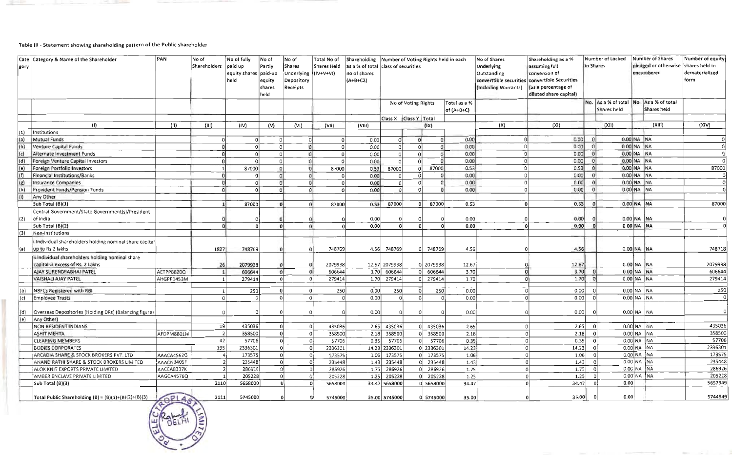### Table III - Statement showing shareholding pattern of the Public shareholder

| Cate Category & Name of the Shareholder<br>gory |                                                         | PAN        | No of<br>Shareholders   paid up | No of fully<br>equity shares<br>held | No of<br>Partly<br>paid-up<br>equity<br>shares<br>held | lNo of<br><b>Shares</b><br>Underlying<br>Depository<br>Receipts | Total No of<br>Shares Held<br>$(IV+V+V1)$ | Shareholding Number of Voting Rights held in each<br>as a % of total class of securities<br>no of shares<br>$(A+B+C2)$ |                       |                     |                         |                              | No of Shares<br>Underlying<br>Outstanding<br>converttible securities<br>(Including Warrants) |                | Shareholding as a %<br>assuming full<br>conversion of<br>convertible Securities<br>(as a percentage of<br>diluted share capital) |             | Number of Locked<br>in Shares |                                       | Number of Shares<br>pledged or otherwise shares held in<br>encumbered | Number of equity<br>dematerialized<br>form |
|-------------------------------------------------|---------------------------------------------------------|------------|---------------------------------|--------------------------------------|--------------------------------------------------------|-----------------------------------------------------------------|-------------------------------------------|------------------------------------------------------------------------------------------------------------------------|-----------------------|---------------------|-------------------------|------------------------------|----------------------------------------------------------------------------------------------|----------------|----------------------------------------------------------------------------------------------------------------------------------|-------------|-------------------------------|---------------------------------------|-----------------------------------------------------------------------|--------------------------------------------|
|                                                 |                                                         |            |                                 |                                      |                                                        |                                                                 |                                           |                                                                                                                        |                       | No of Voting Rights |                         | Total as a %<br>of $(A+B+C)$ |                                                                                              |                |                                                                                                                                  | Shares held |                               |                                       | No. As a % of total No. As a % of total<br>Shares held                |                                            |
|                                                 |                                                         |            |                                 |                                      |                                                        |                                                                 |                                           |                                                                                                                        | Class X Class Y Total |                     |                         |                              |                                                                                              |                |                                                                                                                                  |             |                               |                                       |                                                                       |                                            |
|                                                 | (1)                                                     | (II)       | (III)                           | (IV)                                 | (V)                                                    | (VI)                                                            | (VII)                                     | (VIII)                                                                                                                 |                       |                     | (IX)                    |                              | (X)                                                                                          |                | (X1)                                                                                                                             |             | (X11)                         |                                       | (XIII)                                                                | (XIV)                                      |
| $\vert (1) \vert$                               | Institutions                                            |            |                                 |                                      |                                                        |                                                                 |                                           |                                                                                                                        |                       |                     |                         |                              |                                                                                              |                |                                                                                                                                  |             |                               |                                       |                                                                       |                                            |
| (a)                                             | Mutual Funds                                            |            | $\Omega$                        | 0                                    |                                                        | 0 <sup>1</sup>                                                  | $\Omega$                                  | 0.00                                                                                                                   | -0                    |                     | $\Omega$                | 0.00                         |                                                                                              |                | 0.00                                                                                                                             |             |                               | 0.00 NA NA                            |                                                                       |                                            |
| (b)                                             | Venture Capital Funds                                   |            |                                 | $\Omega$                             |                                                        |                                                                 | $\Omega$                                  | 0.00                                                                                                                   | $\Omega$              |                     | $\Omega$                | 0.00                         |                                                                                              |                | 0.00                                                                                                                             |             |                               | 0.00 NA NA                            |                                                                       |                                            |
| (c)                                             | Alternate Investment Funds                              |            |                                 | $\Omega$                             |                                                        |                                                                 |                                           | 0.00                                                                                                                   | $\Omega$              |                     | -OI                     | 0.00                         |                                                                                              | $\Omega$       | 0.00                                                                                                                             |             |                               | 0.00 NA NA                            |                                                                       |                                            |
| (d)                                             | Foreign Venture Capital Investors                       |            |                                 |                                      |                                                        | $\Omega$                                                        | $\Omega$                                  | 0.00                                                                                                                   | $\Omega$              |                     | -ol                     | 0.00                         |                                                                                              | $\Omega$       | 0.00                                                                                                                             |             |                               | $0.00$ NA NA                          |                                                                       | $\Omega$                                   |
| (e)                                             | Foreign Portfolio Investors                             |            |                                 | 87000                                |                                                        | $\Omega$                                                        | 87000                                     | 0.53                                                                                                                   | 87000                 |                     | 0<br>87000              | 0.53                         |                                                                                              | $\overline{0}$ | 0.53                                                                                                                             |             |                               | 0.00 NA NA                            |                                                                       | 87000                                      |
| (f)                                             | Financial Institutions/Banks                            |            |                                 | $\Omega$                             |                                                        | $\Omega$                                                        | -O I                                      | 0.00                                                                                                                   | ol                    |                     | 0                       | 0.00<br>$\Omega$             |                                                                                              | 0              | 0.00                                                                                                                             | $\Omega$    |                               | $0.00$ NA NA                          |                                                                       |                                            |
| (g)                                             | <b>Insurance Companies</b>                              |            |                                 | -ol                                  |                                                        |                                                                 | - Ol                                      | 0.00                                                                                                                   | -ol                   |                     | -ol<br>$\Omega$         | 0.00                         |                                                                                              | 0              | 0.00                                                                                                                             |             |                               | $0.00$ NA NA                          |                                                                       | 0                                          |
| (h)                                             | <b>Provident Funds/Pension Funds</b>                    |            |                                 | $\Omega$                             |                                                        | $\Omega$                                                        | $\Omega$                                  | 0.00                                                                                                                   | -ol                   |                     | -0 l<br>$\Omega$        | 0.00                         |                                                                                              | $\Omega$       | 0.00                                                                                                                             |             |                               | $0.00$ NA NA                          |                                                                       |                                            |
| (i)                                             | Any Other                                               |            |                                 |                                      |                                                        |                                                                 |                                           |                                                                                                                        |                       |                     |                         |                              |                                                                                              |                |                                                                                                                                  |             |                               |                                       |                                                                       |                                            |
|                                                 | Sub Total (B)(1)                                        |            |                                 | 87000                                |                                                        |                                                                 | 87000<br>n <sub>1</sub>                   | 0.53                                                                                                                   | 87000                 |                     | 87000<br>0 <sup>1</sup> | 0.53                         |                                                                                              | $\Omega$       | 0.53                                                                                                                             |             |                               | $0.00$ NA NA                          |                                                                       | 87000                                      |
|                                                 | Central Government/State Government(s)/President        |            |                                 |                                      |                                                        |                                                                 |                                           |                                                                                                                        |                       |                     |                         |                              |                                                                                              |                |                                                                                                                                  |             |                               |                                       |                                                                       |                                            |
| (2)                                             | of India                                                |            |                                 |                                      |                                                        |                                                                 |                                           | 0.00                                                                                                                   | $\Omega$              |                     |                         | 0.00                         |                                                                                              |                | 0.00                                                                                                                             |             |                               | $0.00$ NA NA                          |                                                                       |                                            |
|                                                 | Sub Total (B)(2)                                        |            |                                 | $\Omega$                             |                                                        |                                                                 | ΩI                                        | 0.00                                                                                                                   | $\Omega$              |                     | n١                      | 0.00<br>$\Omega$             |                                                                                              |                | 0.00                                                                                                                             |             |                               | $0.00$ NA NA                          |                                                                       |                                            |
| (3)                                             | Non-institutions                                        |            |                                 |                                      |                                                        |                                                                 |                                           |                                                                                                                        |                       |                     |                         |                              |                                                                                              |                |                                                                                                                                  |             |                               |                                       |                                                                       |                                            |
|                                                 | i.Individual shareholders holding nominal share capital |            |                                 |                                      |                                                        |                                                                 |                                           |                                                                                                                        |                       |                     |                         |                              |                                                                                              |                |                                                                                                                                  |             |                               |                                       |                                                                       |                                            |
| $\vert$ (a) $\vert$                             | up to Rs.2 lakhs                                        |            | 1827                            | 748769                               |                                                        |                                                                 | 748769                                    | 4.56                                                                                                                   | 748769                |                     | 748769                  | 4.56                         |                                                                                              |                | 4.56                                                                                                                             |             |                               | $0.00$ NA NA                          |                                                                       | 748718                                     |
|                                                 | ii.Individual shareholders holding nominal share        |            |                                 |                                      |                                                        |                                                                 |                                           |                                                                                                                        |                       |                     |                         |                              |                                                                                              |                |                                                                                                                                  |             |                               |                                       |                                                                       |                                            |
|                                                 | capital in excess of Rs. 2 Lakhs                        |            | 26                              | 2079938                              |                                                        |                                                                 | 2079938                                   |                                                                                                                        | 12.67 2079938         |                     | 0 2079938               | 12.67                        |                                                                                              |                | 12.67                                                                                                                            |             |                               | 0.00 NA NA                            |                                                                       | 2079938                                    |
|                                                 | AJAY SURENDRABHAI PATEL                                 | AETPP8820Q |                                 | 606644                               |                                                        | $\Omega$                                                        | 606644<br>$\Omega$                        | 3.70                                                                                                                   | 606644                |                     | 0  606644               | 3.70                         |                                                                                              | 0.             | 3.70                                                                                                                             |             |                               | $0.00$ NA NA                          |                                                                       | 606644                                     |
|                                                 | <b>VAISHALI AJAY PATEL</b>                              | AHGPP1453M |                                 | 279414                               |                                                        | $\Omega$                                                        | 279414<br><sup>n</sup>                    | 1.70                                                                                                                   | 279414                |                     | 0 279414                | 1.70                         |                                                                                              | 0              | 1.70                                                                                                                             | 0           |                               | $0.00$ NA NA                          |                                                                       | 279414                                     |
|                                                 |                                                         |            |                                 |                                      |                                                        |                                                                 |                                           |                                                                                                                        |                       |                     |                         |                              |                                                                                              |                |                                                                                                                                  |             |                               |                                       |                                                                       |                                            |
| (b)                                             | NBFCs Registered with RBI                               |            |                                 | 250                                  |                                                        | $\Omega$<br>$\Omega$                                            | 250                                       | 0.00                                                                                                                   | 250                   |                     | 250<br>$\Omega$         | 0.00                         |                                                                                              | 0              | 0.00                                                                                                                             | $\Omega$    |                               | $0.00$ NA $N$ A                       |                                                                       | 250                                        |
| (c)                                             | <b>Employee Trusts</b>                                  |            |                                 | $\Omega$                             |                                                        |                                                                 | $\Omega$<br>0                             | 0.00                                                                                                                   | -ol                   |                     | $\Omega$                | 0.00<br>$\Omega$             |                                                                                              | 0              | 0.00                                                                                                                             |             |                               | $0.00$ NA $ NA$                       |                                                                       | - ol                                       |
| $\mathsf{I}(\mathsf{d})$                        | Overseas Depositories (Holding DRs) (Balancing figure)  |            |                                 |                                      |                                                        |                                                                 |                                           | 0.00                                                                                                                   |                       |                     | $\Omega$                | 0.00                         |                                                                                              |                | 0.00                                                                                                                             |             |                               | $0.00$ NA NA                          |                                                                       | $\Omega$                                   |
| (e)                                             | Any Other)                                              |            |                                 |                                      |                                                        |                                                                 |                                           |                                                                                                                        |                       |                     |                         |                              |                                                                                              |                |                                                                                                                                  |             |                               |                                       |                                                                       |                                            |
|                                                 | NON RESIDENT INDIANS                                    |            | 19                              | 435036                               |                                                        | $\Omega$                                                        | 435036                                    | 2.65                                                                                                                   | 435036                |                     | 435036                  | 2.65                         |                                                                                              | $\Omega$       | 2.65                                                                                                                             | $\Omega$    |                               | $0.00$ NA $N$ A                       |                                                                       | 435036                                     |
|                                                 | ASHIT MEHTA                                             | AFDPM8801M | $\overline{\phantom{a}}$        | 358500                               |                                                        | $\Omega$                                                        | 358500<br> 0                              | 2.18                                                                                                                   | 358500                |                     | 358500<br>0 l           | 2.18                         |                                                                                              | $\Omega$       | 2.18                                                                                                                             | $\Omega$    |                               | $0.00$ NA NA                          |                                                                       | 358500                                     |
|                                                 | <b>CLEARING MEMBERS</b>                                 |            | 42                              | 57706                                |                                                        | $\Omega$                                                        | 57706<br>-ol                              | 0.35                                                                                                                   | 57706                 |                     | 57706<br> 0             | 0.35                         |                                                                                              | -ol            | 0.35                                                                                                                             | 0           |                               | 0.00 NA NA                            |                                                                       | 57706                                      |
|                                                 | <b>BODIES CORPORATES</b>                                |            | 195                             | 2336301                              |                                                        | $\Omega$                                                        | $\Omega$<br>2336301                       | 14.23                                                                                                                  | 2336301               |                     | 0 2336301               | 14.23                        |                                                                                              | $\Omega$       | 14.23                                                                                                                            | 0١          |                               | $0.00$ NA $\overline{\phantom{a}}$ NA |                                                                       | 2336301                                    |
|                                                 | <b>JARCADIA SHARE &amp; STOCK BROKERS PVT. LTD</b>      | AAACA4562G |                                 | 173575                               |                                                        | οÌ                                                              | 173575                                    | 1.06                                                                                                                   | 173575                |                     | 0 173575                | 1.06                         |                                                                                              | $\Omega$       | 1.06                                                                                                                             |             |                               | $0.00$ NA NA                          |                                                                       | 173575                                     |
|                                                 | ANAND RATHI SHARE & STOCK BROKERS LIMITED               | AAACN3405F |                                 | 235448<br>$\overline{ }$             |                                                        | $\Omega$                                                        | 235448                                    | 1.43                                                                                                                   | 235448                |                     | C 235448                | 1.43                         |                                                                                              | $\Omega$       | 1.43                                                                                                                             | $\Omega$    |                               | 0.00 NA NA                            |                                                                       | 235448                                     |
|                                                 | ALOK KNIT EXPORTS PRIVATE LIMITED                       | AACCA8337K |                                 | 286926                               |                                                        | -ol                                                             | 286926<br>$\Omega$                        | 1.75                                                                                                                   | 286926                |                     | $0$ 286926              | 1.75                         |                                                                                              | -ol            | 1.75                                                                                                                             | $\Omega$    |                               | $0.00$ NA NA                          |                                                                       | 286926                                     |
|                                                 | AMBER ENCLAVE PRIVATE LIMITED                           | AAGCA4576Q | $\overline{\phantom{a}}$        | 205228                               |                                                        | $\Omega$                                                        | Q.<br>205228                              | 1.25                                                                                                                   | 205228                |                     | $0$ 205228              | 1.25                         |                                                                                              | 0              | 1.25                                                                                                                             | 0           |                               | 0.00 NA NA                            |                                                                       | 205228                                     |
|                                                 | Sub Total (B)(3)                                        |            | 2110                            | 5658000                              |                                                        |                                                                 | $\Omega$<br>5658000                       |                                                                                                                        | 34.47 5658000         |                     | 0 5658000               | 34.47                        |                                                                                              | $\Omega$       | 34.47                                                                                                                            |             | 0.00                          |                                       |                                                                       | 5657949                                    |
|                                                 | Total Public Shareholding $(B) = (B)(1)+(B)(2)+(B)(3)$  | OPLA       | 2111                            | 5745000                              |                                                        |                                                                 | 5745000                                   |                                                                                                                        | 35.00 5745000         |                     | 0 5745000               | 35.00                        |                                                                                              | $\Omega$       | 35.00                                                                                                                            | - 0         | 0.00                          |                                       |                                                                       | 5744949                                    |

**State of**